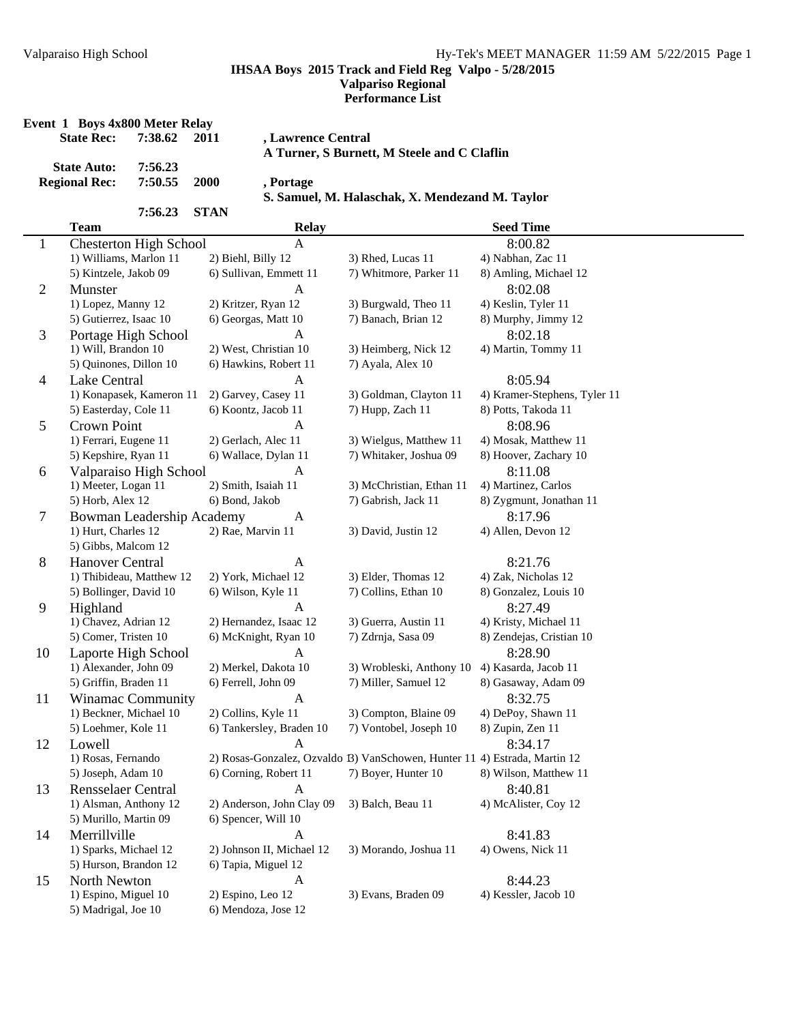**Performance List**

|                | <b>State Rec:</b>                          | Event 1 Boys 4x800 Meter Relay<br>7:38.62 | 2011        | , Lawrence Central        | A Turner, S Burnett, M Steele and C Claflin                                |                              |
|----------------|--------------------------------------------|-------------------------------------------|-------------|---------------------------|----------------------------------------------------------------------------|------------------------------|
|                | <b>State Auto:</b><br><b>Regional Rec:</b> | 7:56.23<br>7:50.55                        | 2000        | , Portage                 | S. Samuel, M. Halaschak, X. Mendezand M. Taylor                            |                              |
|                | <b>Team</b>                                | 7:56.23                                   | <b>STAN</b> | <b>Relay</b>              |                                                                            | <b>Seed Time</b>             |
|                |                                            | <b>Chesterton High School</b>             |             | A                         |                                                                            | 8:00.82                      |
| $\mathbf{1}$   | 1) Williams, Marlon 11                     |                                           |             | 2) Biehl, Billy 12        | 3) Rhed, Lucas 11                                                          | 4) Nabhan, Zac 11            |
|                | 5) Kintzele, Jakob 09                      |                                           |             | 6) Sullivan, Emmett 11    | 7) Whitmore, Parker 11                                                     | 8) Amling, Michael 12        |
| $\mathfrak{2}$ | Munster                                    |                                           |             | A                         |                                                                            | 8:02.08                      |
|                | 1) Lopez, Manny 12                         |                                           |             | 2) Kritzer, Ryan 12       | 3) Burgwald, Theo 11                                                       | 4) Keslin, Tyler 11          |
|                | 5) Gutierrez, Isaac 10                     |                                           |             | 6) Georgas, Matt 10       | 7) Banach, Brian 12                                                        | 8) Murphy, Jimmy 12          |
| 3              |                                            | Portage High School                       |             | A                         |                                                                            | 8:02.18                      |
|                | 1) Will, Brandon 10                        |                                           |             | 2) West, Christian 10     | 3) Heimberg, Nick 12                                                       | 4) Martin, Tommy 11          |
|                | 5) Quinones, Dillon 10                     |                                           |             | 6) Hawkins, Robert 11     | 7) Ayala, Alex 10                                                          |                              |
| $\overline{4}$ | Lake Central                               |                                           |             | A                         |                                                                            | 8:05.94                      |
|                |                                            | 1) Konapasek, Kameron 11                  |             | 2) Garvey, Casey 11       | 3) Goldman, Clayton 11                                                     | 4) Kramer-Stephens, Tyler 11 |
|                | 5) Easterday, Cole 11                      |                                           |             | 6) Koontz, Jacob 11       | 7) Hupp, Zach 11                                                           | 8) Potts, Takoda 11          |
| 5              | Crown Point                                |                                           |             | A                         |                                                                            | 8:08.96                      |
|                | 1) Ferrari, Eugene 11                      |                                           |             | 2) Gerlach, Alec 11       | 3) Wielgus, Matthew 11                                                     | 4) Mosak, Matthew 11         |
|                | 5) Kepshire, Ryan 11                       |                                           |             | 6) Wallace, Dylan 11      | 7) Whitaker, Joshua 09                                                     | 8) Hoover, Zachary 10        |
| 6              |                                            | Valparaiso High School                    |             | A                         |                                                                            | 8:11.08                      |
|                | 1) Meeter, Logan 11                        |                                           |             | 2) Smith, Isaiah 11       | 3) McChristian, Ethan 11                                                   | 4) Martinez, Carlos          |
|                | 5) Horb, Alex 12                           |                                           |             | 6) Bond, Jakob            | 7) Gabrish, Jack 11                                                        | 8) Zygmunt, Jonathan 11      |
| $\tau$         |                                            | Bowman Leadership Academy                 |             | A                         |                                                                            | 8:17.96                      |
|                | 1) Hurt, Charles 12                        |                                           |             | 2) Rae, Marvin 11         | 3) David, Justin 12                                                        | 4) Allen, Devon 12           |
|                | 5) Gibbs, Malcom 12                        |                                           |             |                           |                                                                            |                              |
| 8              | <b>Hanover Central</b>                     |                                           |             | A                         |                                                                            | 8:21.76                      |
|                |                                            | 1) Thibideau, Matthew 12                  |             | 2) York, Michael 12       | 3) Elder, Thomas 12                                                        | 4) Zak, Nicholas 12          |
|                | 5) Bollinger, David 10                     |                                           |             | 6) Wilson, Kyle 11        | 7) Collins, Ethan 10                                                       | 8) Gonzalez, Louis 10        |
| 9              | Highland                                   |                                           |             | A                         |                                                                            | 8:27.49                      |
|                | 1) Chavez, Adrian 12                       |                                           |             | 2) Hernandez, Isaac 12    | 3) Guerra, Austin 11                                                       | 4) Kristy, Michael 11        |
|                | 5) Comer, Tristen 10                       |                                           |             | 6) McKnight, Ryan 10      | 7) Zdrnja, Sasa 09                                                         | 8) Zendejas, Cristian 10     |
| 10             |                                            | Laporte High School                       |             | A                         |                                                                            | 8:28.90                      |
|                | 1) Alexander, John 09                      |                                           |             | 2) Merkel, Dakota 10      | 3) Wrobleski, Anthony 10                                                   | 4) Kasarda, Jacob 11         |
|                | 5) Griffin, Braden 11                      |                                           |             | 6) Ferrell, John 09       | 7) Miller, Samuel 12                                                       | 8) Gasaway, Adam 09          |
| 11             |                                            | Winamac Community                         |             | A                         |                                                                            | 8:32.75                      |
|                | 1) Beckner, Michael 10                     |                                           |             | 2) Collins, Kyle 11       | 3) Compton, Blaine 09                                                      | 4) DePoy, Shawn 11           |
|                | 5) Loehmer, Kole 11                        |                                           |             | 6) Tankersley, Braden 10  | 7) Vontobel, Joseph 10                                                     | 8) Zupin, Zen 11             |
| 12             | Lowell                                     |                                           |             | A                         |                                                                            | 8:34.17                      |
|                | 1) Rosas, Fernando                         |                                           |             |                           | 2) Rosas-Gonzalez, Ozvaldo 13) VanSchowen, Hunter 11 4) Estrada, Martin 12 |                              |
|                | 5) Joseph, Adam 10                         |                                           |             | 6) Corning, Robert 11     | 7) Boyer, Hunter 10                                                        | 8) Wilson, Matthew 11        |
| 13             | <b>Rensselaer Central</b>                  |                                           |             | A                         |                                                                            | 8:40.81                      |
|                | 1) Alsman, Anthony 12                      |                                           |             | 2) Anderson, John Clay 09 | 3) Balch, Beau 11                                                          | 4) McAlister, Coy 12         |
|                | 5) Murillo, Martin 09                      |                                           |             | 6) Spencer, Will 10       |                                                                            |                              |
| 14             | Merrillville                               |                                           |             | A                         |                                                                            | 8:41.83                      |
|                | 1) Sparks, Michael 12                      |                                           |             | 2) Johnson II, Michael 12 | 3) Morando, Joshua 11                                                      | 4) Owens, Nick 11            |
|                | 5) Hurson, Brandon 12                      |                                           |             | 6) Tapia, Miguel 12       |                                                                            |                              |
| 15             | North Newton                               |                                           |             | A                         |                                                                            | 8:44.23                      |
|                | 1) Espino, Miguel 10                       |                                           |             | 2) Espino, Leo 12         | 3) Evans, Braden 09                                                        | 4) Kessler, Jacob 10         |
|                | 5) Madrigal, Joe 10                        |                                           |             | 6) Mendoza, Jose 12       |                                                                            |                              |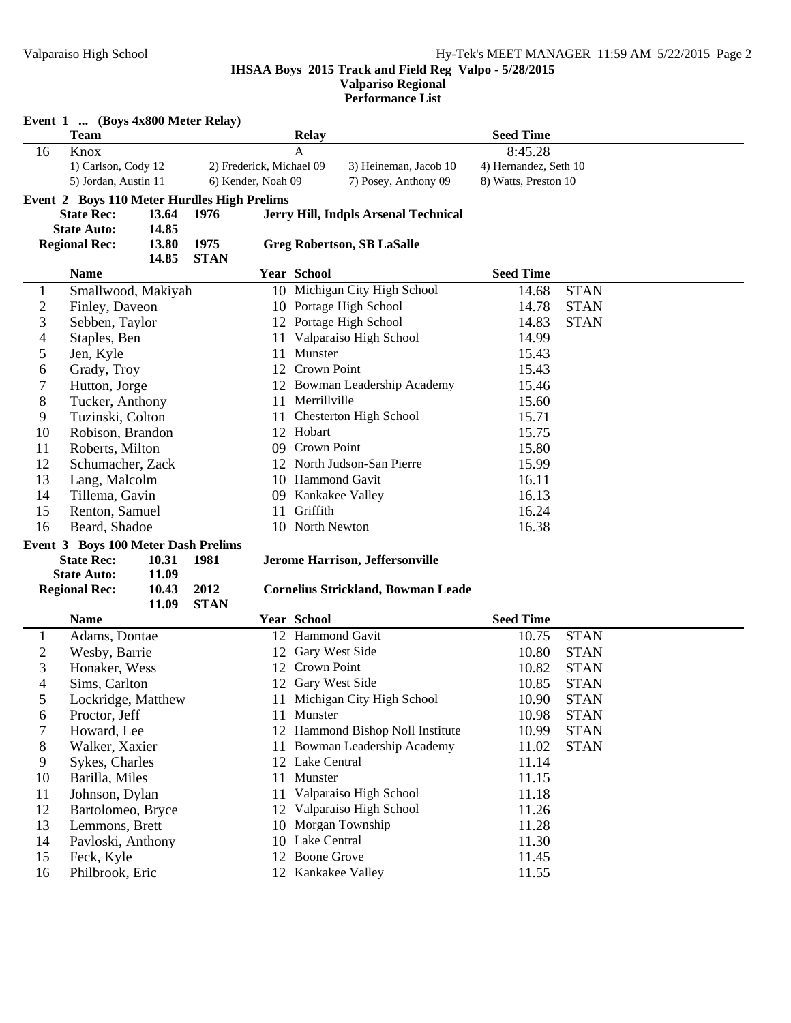**Performance List**

|                  | Event 1  (Boys 4x800 Meter Relay)<br><b>Team</b>                 |       |             |                          | <b>Relay</b>       |                                           | <b>Seed Time</b>      |             |
|------------------|------------------------------------------------------------------|-------|-------------|--------------------------|--------------------|-------------------------------------------|-----------------------|-------------|
| 16               | Knox                                                             |       |             |                          | A                  |                                           | 8:45.28               |             |
|                  | 1) Carlson, Cody 12                                              |       |             | 2) Frederick, Michael 09 |                    | 3) Heineman, Jacob 10                     | 4) Hernandez, Seth 10 |             |
|                  | 5) Jordan, Austin 11                                             |       |             | 6) Kender, Noah 09       |                    | 7) Posey, Anthony 09                      | 8) Watts, Preston 10  |             |
|                  |                                                                  |       |             |                          |                    |                                           |                       |             |
|                  | Event 2 Boys 110 Meter Hurdles High Prelims<br><b>State Rec:</b> | 13.64 | 1976        |                          |                    | Jerry Hill, Indpls Arsenal Technical      |                       |             |
|                  | <b>State Auto:</b>                                               | 14.85 |             |                          |                    |                                           |                       |             |
|                  | <b>Regional Rec:</b>                                             | 13.80 | 1975        |                          |                    | <b>Greg Robertson, SB LaSalle</b>         |                       |             |
|                  |                                                                  | 14.85 | <b>STAN</b> |                          |                    |                                           |                       |             |
|                  | <b>Name</b>                                                      |       |             |                          | <b>Year School</b> |                                           | <b>Seed Time</b>      |             |
| $\mathbf{1}$     | Smallwood, Makiyah                                               |       |             |                          |                    | 10 Michigan City High School              | 14.68                 | <b>STAN</b> |
| $\boldsymbol{2}$ | Finley, Daveon                                                   |       |             |                          |                    | 10 Portage High School                    | 14.78                 | <b>STAN</b> |
| 3                | Sebben, Taylor                                                   |       |             |                          |                    | 12 Portage High School                    | 14.83                 | <b>STAN</b> |
| $\overline{4}$   | Staples, Ben                                                     |       |             | 11                       |                    | Valparaiso High School                    | 14.99                 |             |
| 5                | Jen, Kyle                                                        |       |             | 11                       | Munster            |                                           | 15.43                 |             |
| 6                | Grady, Troy                                                      |       |             | 12                       | Crown Point        |                                           | 15.43                 |             |
| $\boldsymbol{7}$ | Hutton, Jorge                                                    |       |             | 12                       |                    | Bowman Leadership Academy                 | 15.46                 |             |
| 8                | Tucker, Anthony                                                  |       |             | 11                       | Merrillville       |                                           | 15.60                 |             |
| 9                | Tuzinski, Colton                                                 |       |             | 11                       |                    | <b>Chesterton High School</b>             | 15.71                 |             |
| 10               | Robison, Brandon                                                 |       |             |                          | 12 Hobart          |                                           | 15.75                 |             |
| 11               | Roberts, Milton                                                  |       |             |                          | 09 Crown Point     |                                           | 15.80                 |             |
| 12               | Schumacher, Zack                                                 |       |             |                          |                    | 12 North Judson-San Pierre                | 15.99                 |             |
| 13               | Lang, Malcolm                                                    |       |             |                          |                    | 10 Hammond Gavit                          | 16.11                 |             |
| 14               | Tillema, Gavin                                                   |       |             |                          |                    | 09 Kankakee Valley                        | 16.13                 |             |
| 15               | Renton, Samuel                                                   |       |             |                          | Griffith<br>11     |                                           | 16.24                 |             |
| 16               | Beard, Shadoe                                                    |       |             |                          | 10 North Newton    |                                           | 16.38                 |             |
|                  | Event 3 Boys 100 Meter Dash Prelims                              |       |             |                          |                    |                                           |                       |             |
|                  | <b>State Rec:</b>                                                | 10.31 | 1981        |                          |                    | Jerome Harrison, Jeffersonville           |                       |             |
|                  | <b>State Auto:</b>                                               | 11.09 |             |                          |                    |                                           |                       |             |
|                  | <b>Regional Rec:</b>                                             | 10.43 | 2012        |                          |                    | <b>Cornelius Strickland, Bowman Leade</b> |                       |             |
|                  |                                                                  | 11.09 | <b>STAN</b> |                          |                    |                                           |                       |             |
|                  | <b>Name</b>                                                      |       |             |                          | <b>Year School</b> |                                           | <b>Seed Time</b>      |             |
| $\mathbf{1}$     | Adams, Dontae                                                    |       |             |                          |                    | 12 Hammond Gavit                          | 10.75                 | <b>STAN</b> |
| $\overline{2}$   | Wesby, Barrie                                                    |       |             |                          | 12 Gary West Side  |                                           | 10.80                 | <b>STAN</b> |
| 3                | Honaker, Wess                                                    |       |             |                          | 12 Crown Point     |                                           | 10.82                 | <b>STAN</b> |
| 4                | Sims, Carlton                                                    |       |             |                          | 12 Gary West Side  |                                           | 10.85                 | <b>STAN</b> |
| 5                | Lockridge, Matthew                                               |       |             |                          |                    | 11 Michigan City High School              | 10.90                 | <b>STAN</b> |
| 6                | Proctor, Jeff                                                    |       |             |                          | 11 Munster         |                                           | 10.98                 | <b>STAN</b> |
| $\boldsymbol{7}$ | Howard, Lee                                                      |       |             |                          |                    | 12 Hammond Bishop Noll Institute          | 10.99                 | <b>STAN</b> |
| $8\,$            | Walker, Xaxier                                                   |       |             |                          |                    | 11 Bowman Leadership Academy              | 11.02                 | <b>STAN</b> |
| 9                | Sykes, Charles                                                   |       |             |                          | 12 Lake Central    |                                           | 11.14                 |             |
| 10               | Barilla, Miles                                                   |       |             | 11                       | Munster            |                                           | 11.15                 |             |
| 11               | Johnson, Dylan                                                   |       |             | 11                       |                    | Valparaiso High School                    | 11.18                 |             |
| 12               | Bartolomeo, Bryce                                                |       |             | 12                       |                    | Valparaiso High School                    | 11.26                 |             |
| 13               | Lemmons, Brett                                                   |       |             |                          |                    | 10 Morgan Township                        | 11.28                 |             |
| 14               | Pavloski, Anthony                                                |       |             |                          | 10 Lake Central    |                                           | 11.30                 |             |
| 15               | Feck, Kyle                                                       |       |             |                          | 12 Boone Grove     |                                           | 11.45                 |             |
| 16               | Philbrook, Eric                                                  |       |             |                          |                    | 12 Kankakee Valley                        | 11.55                 |             |
|                  |                                                                  |       |             |                          |                    |                                           |                       |             |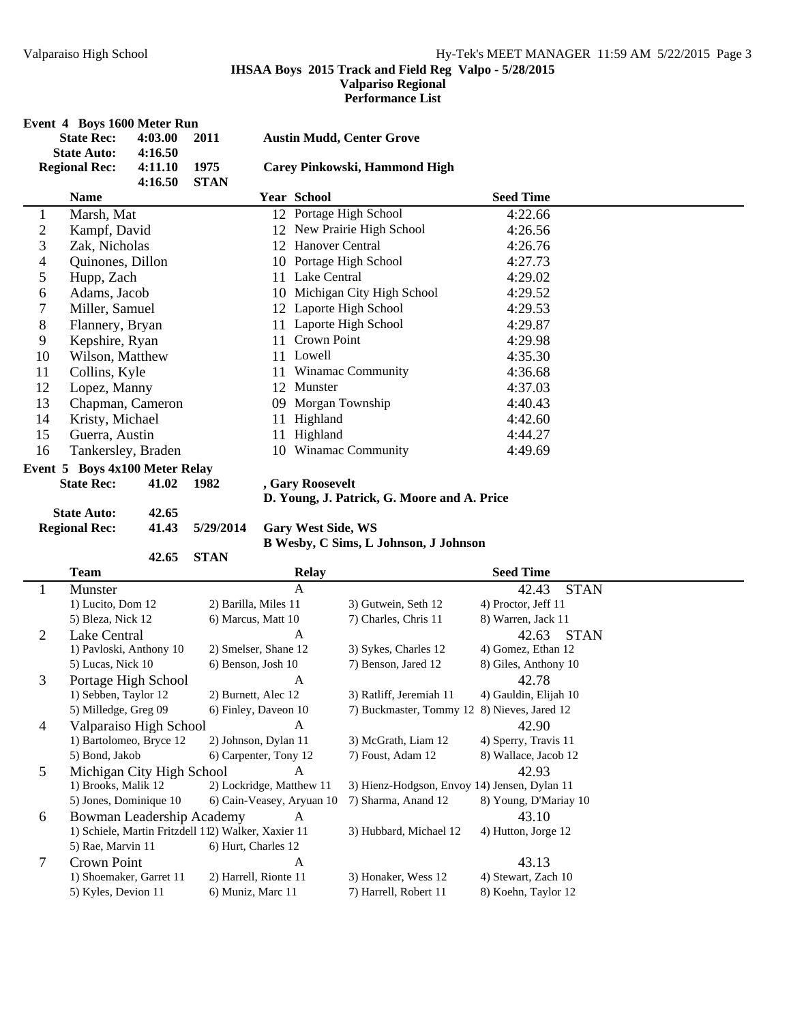**Performance List**

|                | Event 4 Boys 1600 Meter Run    |         |             |    |                                  |                  |  |  |  |
|----------------|--------------------------------|---------|-------------|----|----------------------------------|------------------|--|--|--|
|                | <b>State Rec:</b>              | 4:03.00 | 2011        |    | <b>Austin Mudd, Center Grove</b> |                  |  |  |  |
|                | <b>State Auto:</b>             | 4:16.50 |             |    |                                  |                  |  |  |  |
|                | <b>Regional Rec:</b>           | 4:11.10 | 1975        |    | Carey Pinkowski, Hammond High    |                  |  |  |  |
|                |                                | 4:16.50 | <b>STAN</b> |    |                                  |                  |  |  |  |
|                | <b>Name</b>                    |         |             |    | <b>Year School</b>               | <b>Seed Time</b> |  |  |  |
| 1              | Marsh, Mat                     |         |             |    | 12 Portage High School           | 4:22.66          |  |  |  |
| $\overline{c}$ | Kampf, David                   |         |             |    | 12 New Prairie High School       | 4:26.56          |  |  |  |
| 3              | Zak, Nicholas                  |         |             | 12 | Hanover Central                  | 4:26.76          |  |  |  |
| $\overline{4}$ | Quinones, Dillon               |         |             |    | 10 Portage High School           | 4:27.73          |  |  |  |
| 5              | Hupp, Zach                     |         |             |    | 11 Lake Central                  | 4:29.02          |  |  |  |
| 6              | Adams, Jacob                   |         |             |    | 10 Michigan City High School     | 4:29.52          |  |  |  |
| 7              | Miller, Samuel                 |         |             |    | 12 Laporte High School           | 4:29.53          |  |  |  |
| 8              | Flannery, Bryan                |         |             |    | 11 Laporte High School           | 4:29.87          |  |  |  |
| 9              | Kepshire, Ryan                 |         |             | 11 | <b>Crown Point</b>               | 4:29.98          |  |  |  |
| 10             | Wilson, Matthew                |         |             |    | 11 Lowell                        | 4:35.30          |  |  |  |
| 11             | Collins, Kyle                  |         |             | 11 | <b>Winamac Community</b>         | 4:36.68          |  |  |  |
| 12             | Lopez, Manny                   |         |             | 12 | Munster                          | 4:37.03          |  |  |  |
| 13             | Chapman, Cameron               |         |             | 09 | Morgan Township                  | 4:40.43          |  |  |  |
| 14             | Kristy, Michael                |         |             | 11 | Highland                         | 4:42.60          |  |  |  |
| 15             | Guerra, Austin                 |         |             | 11 | Highland                         | 4:44.27          |  |  |  |
| 16             | Tankersley, Braden             |         |             |    | 10 Winamac Community             | 4:49.69          |  |  |  |
|                | Event 5 Boys 4x100 Meter Relay |         |             |    |                                  |                  |  |  |  |

**State Rec: 41.02 1982 , Gary Roosevelt**

# **D. Young, J. Patrick, G. Moore and A. Price**

**State Auto:** 42.65<br> **Regional Rec:** 41.43 5/29/2014

**42.65 STAN**

**Gary West Side, WS B Wesby, C Sims, L Johnson, J Johnson**

|   | <b>Team</b>                                         | <b>Relay</b>              |                                              | <b>Seed Time</b>      |
|---|-----------------------------------------------------|---------------------------|----------------------------------------------|-----------------------|
|   | Munster                                             | A                         |                                              | <b>STAN</b><br>42.43  |
|   | 1) Lucito, Dom 12                                   | 2) Barilla, Miles 11      | 3) Gutwein, Seth 12                          | 4) Proctor, Jeff 11   |
|   | 5) Bleza, Nick 12                                   | 6) Marcus, Matt 10        | 7) Charles, Chris 11                         | 8) Warren, Jack 11    |
| 2 | Lake Central                                        | A                         |                                              | <b>STAN</b><br>42.63  |
|   | 1) Pavloski, Anthony 10                             | 2) Smelser, Shane 12      | 3) Sykes, Charles 12                         | 4) Gomez, Ethan 12    |
|   | 5) Lucas, Nick 10                                   | 6) Benson, Josh 10        | 7) Benson, Jared 12                          | 8) Giles, Anthony 10  |
| 3 | Portage High School                                 | A                         |                                              | 42.78                 |
|   | 1) Sebben, Taylor 12                                | 2) Burnett, Alec 12       | 3) Ratliff, Jeremiah 11                      | 4) Gauldin, Elijah 10 |
|   | 5) Milledge, Greg 09                                | 6) Finley, Daveon 10      | 7) Buckmaster, Tommy 12                      | 8) Nieves, Jared 12   |
| 4 | Valparaiso High School                              | A                         |                                              | 42.90                 |
|   | 1) Bartolomeo, Bryce 12                             | 2) Johnson, Dylan 11      | 3) McGrath, Liam 12                          | 4) Sperry, Travis 11  |
|   | 5) Bond, Jakob                                      | 6) Carpenter, Tony 12     | 7) Foust, Adam 12                            | 8) Wallace, Jacob 12  |
| 5 | Michigan City High School                           | A                         |                                              | 42.93                 |
|   | 1) Brooks, Malik 12                                 | 2) Lockridge, Matthew 11  | 3) Hienz-Hodgson, Envoy 14) Jensen, Dylan 11 |                       |
|   | 5) Jones, Dominique 10                              | 6) Cain-Veasey, Aryuan 10 | 7) Sharma, Anand 12                          | 8) Young, D'Mariay 10 |
| 6 | Bowman Leadership Academy                           | A                         |                                              | 43.10                 |
|   | 1) Schiele, Martin Fritzdell 112) Walker, Xaxier 11 |                           | 3) Hubbard, Michael 12                       | 4) Hutton, Jorge 12   |
|   | 5) Rae, Marvin 11                                   | 6) Hurt, Charles 12       |                                              |                       |
| 7 | Crown Point                                         | A                         |                                              | 43.13                 |
|   | 1) Shoemaker, Garret 11                             | 2) Harrell, Rionte 11     | 3) Honaker, Wess 12                          | 4) Stewart, Zach 10   |
|   | 5) Kyles, Devion 11                                 | 6) Muniz, Marc 11         | 7) Harrell, Robert 11                        | 8) Koehn, Taylor 12   |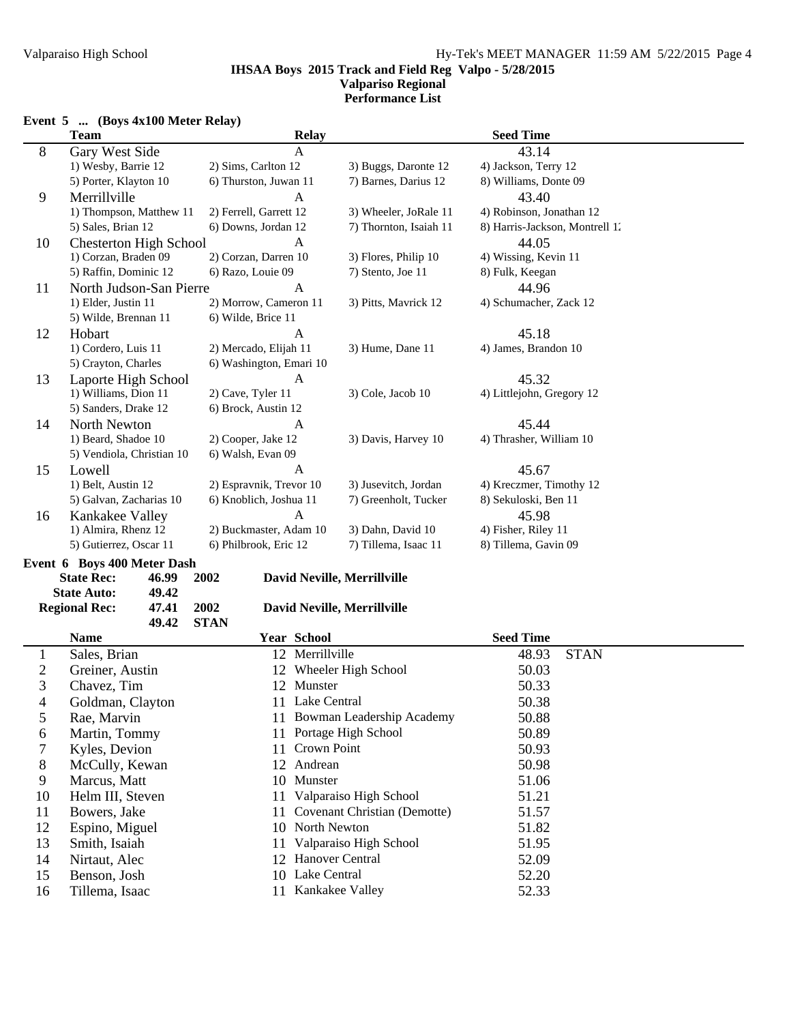#### **IHSAA Boys 2015 Track and Field Reg Valpo - 5/28/2015 Valpariso Regional Performance List**

# **Event 5 ... (Boys 4x100 Meter Relay)**

|                  | <b>Team</b>                   |                         | <b>Relay</b>       |                              | <b>Seed Time</b>               |             |  |
|------------------|-------------------------------|-------------------------|--------------------|------------------------------|--------------------------------|-------------|--|
| 8                | Gary West Side                |                         | A                  |                              | 43.14                          |             |  |
|                  | 1) Wesby, Barrie 12           | 2) Sims, Carlton 12     |                    | 3) Buggs, Daronte 12         | 4) Jackson, Terry 12           |             |  |
|                  | 5) Porter, Klayton 10         | 6) Thurston, Juwan 11   |                    | 7) Barnes, Darius 12         | 8) Williams, Donte 09          |             |  |
| 9                | Merrillville                  |                         | $\mathbf{A}$       |                              | 43.40                          |             |  |
|                  | 1) Thompson, Matthew 11       | 2) Ferrell, Garrett 12  |                    | 3) Wheeler, JoRale 11        | 4) Robinson, Jonathan 12       |             |  |
|                  | 5) Sales, Brian 12            | 6) Downs, Jordan 12     |                    | 7) Thornton, Isaiah 11       | 8) Harris-Jackson, Montrell 1. |             |  |
| 10               | <b>Chesterton High School</b> | $\mathbf{A}$            |                    |                              | 44.05                          |             |  |
|                  | 1) Corzan, Braden 09          | 2) Corzan, Darren 10    |                    | 3) Flores, Philip 10         | 4) Wissing, Kevin 11           |             |  |
|                  | 5) Raffin, Dominic 12         | 6) Razo, Louie 09       |                    | 7) Stento, Joe 11            | 8) Fulk, Keegan                |             |  |
| 11               | North Judson-San Pierre       |                         | A                  |                              | 44.96                          |             |  |
|                  | 1) Elder, Justin 11           | 2) Morrow, Cameron 11   |                    | 3) Pitts, Mavrick 12         | 4) Schumacher, Zack 12         |             |  |
|                  | 5) Wilde, Brennan 11          | 6) Wilde, Brice 11      |                    |                              |                                |             |  |
| 12               | Hobart                        |                         | A                  |                              | 45.18                          |             |  |
|                  | 1) Cordero, Luis 11           | 2) Mercado, Elijah 11   |                    | 3) Hume, Dane 11             | 4) James, Brandon 10           |             |  |
|                  | 5) Crayton, Charles           | 6) Washington, Emari 10 |                    |                              |                                |             |  |
| 13               | Laporte High School           |                         | A                  |                              | 45.32                          |             |  |
|                  | 1) Williams, Dion 11          | 2) Cave, Tyler 11       |                    | 3) Cole, Jacob 10            | 4) Littlejohn, Gregory 12      |             |  |
|                  | 5) Sanders, Drake 12          | 6) Brock, Austin 12     |                    |                              |                                |             |  |
| 14               | North Newton                  |                         | A                  |                              | 45.44                          |             |  |
|                  | 1) Beard, Shadoe 10           | 2) Cooper, Jake 12      |                    | 3) Davis, Harvey 10          | 4) Thrasher, William 10        |             |  |
|                  | 5) Vendiola, Christian 10     | 6) Walsh, Evan 09       |                    |                              |                                |             |  |
| 15               | Lowell                        |                         | $\mathbf{A}$       |                              | 45.67                          |             |  |
|                  | 1) Belt, Austin 12            | 2) Espravnik, Trevor 10 |                    | 3) Jusevitch, Jordan         | 4) Kreczmer, Timothy 12        |             |  |
|                  | 5) Galvan, Zacharias 10       | 6) Knoblich, Joshua 11  |                    | 7) Greenholt, Tucker         | 8) Sekuloski, Ben 11           |             |  |
| 16               | Kankakee Valley               |                         | $\mathbf{A}$       |                              | 45.98                          |             |  |
|                  | 1) Almira, Rhenz 12           | 2) Buckmaster, Adam 10  |                    | 3) Dahn, David 10            | 4) Fisher, Riley 11            |             |  |
|                  | 5) Gutierrez, Oscar 11        | 6) Philbrook, Eric 12   |                    | 7) Tillema, Isaac 11         | 8) Tillema, Gavin 09           |             |  |
|                  | Event 6 Boys 400 Meter Dash   |                         |                    |                              |                                |             |  |
|                  | <b>State Rec:</b><br>46.99    | 2002                    |                    | David Neville, Merrillville  |                                |             |  |
|                  | <b>State Auto:</b><br>49.42   |                         |                    |                              |                                |             |  |
|                  | <b>Regional Rec:</b><br>47.41 | 2002                    |                    | David Neville, Merrillville  |                                |             |  |
|                  | 49.42                         | <b>STAN</b>             |                    |                              |                                |             |  |
|                  | <b>Name</b>                   |                         | <b>Year School</b> |                              | <b>Seed Time</b>               |             |  |
| $\mathbf{1}$     | Sales, Brian                  |                         | 12 Merrillville    |                              | 48.93                          | <b>STAN</b> |  |
| $\boldsymbol{2}$ | Greiner, Austin               |                         |                    | 12 Wheeler High School       | 50.03                          |             |  |
| 3                | Chavez, Tim                   |                         | 12 Munster         |                              | 50.33                          |             |  |
| 4                | Goldman, Clayton              |                         | 11 Lake Central    |                              | 50.38                          |             |  |
| 5                | Rae, Marvin                   |                         |                    | 11 Bowman Leadership Academy | 50.88                          |             |  |
|                  | Martin, Tommy                 | 11                      |                    | Portage High School          | 50.89                          |             |  |
| 6<br>7           | Kyles, Devion                 | 11                      | Crown Point        |                              | 50.93                          |             |  |
|                  |                               |                         | Andrean            |                              |                                |             |  |
| 8                | McCully, Kewan                | 12                      |                    |                              | 50.98                          |             |  |
| 9                | Marcus, Matt                  | 10                      | Munster            |                              | 51.06                          |             |  |
| 10               | Helm III, Steven              | 11                      |                    | Valparaiso High School       | 51.21                          |             |  |
| 11               | Bowers, Jake                  | 11                      |                    | Covenant Christian (Demotte) | 51.57                          |             |  |
| 12               | Espino, Miguel                |                         | 10 North Newton    |                              | 51.82                          |             |  |
| 13               | Smith, Isaiah                 | 11                      |                    | Valparaiso High School       | 51.95                          |             |  |
| 14               | Nirtaut, Alec                 |                         | 12 Hanover Central |                              | 52.09                          |             |  |
| 15               | Benson, Josh                  |                         | 10 Lake Central    |                              | 52.20                          |             |  |
| 16               | Tillema, Isaac                | 11 Kankakee Valley      |                    |                              | 52.33                          |             |  |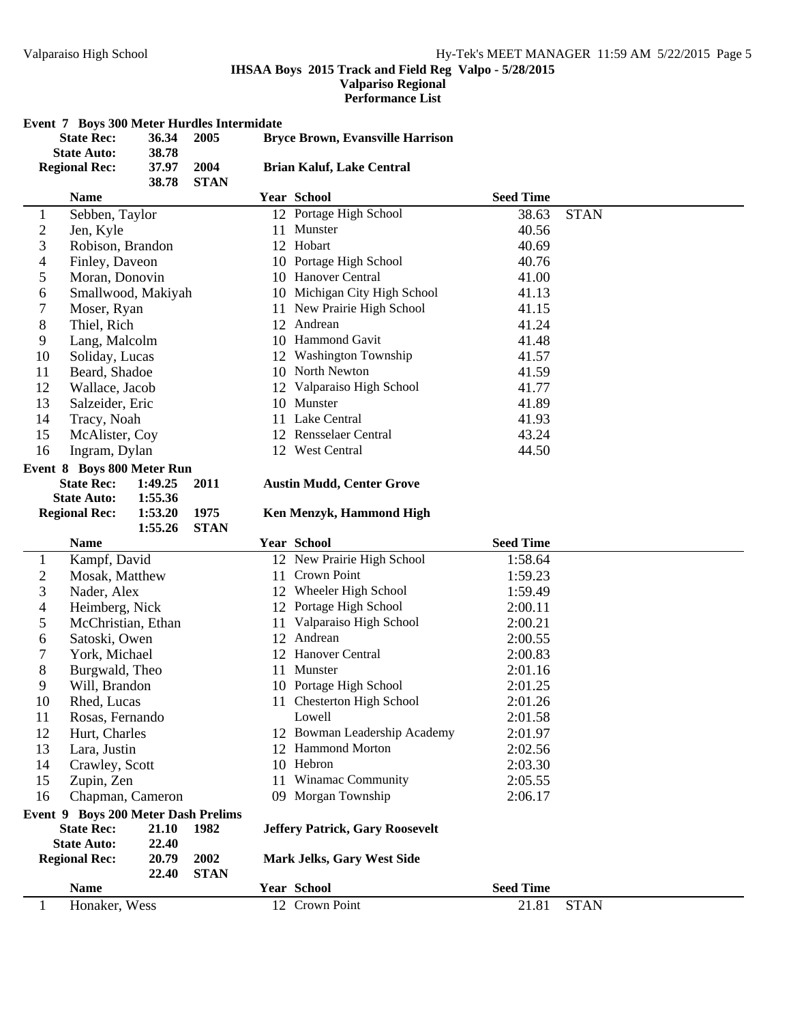**State Auto:** 1:55.36<br>Regional Rec: 1:53.20

# **IHSAA Boys 2015 Track and Field Reg Valpo - 5/28/2015**

# **Valpariso Regional**

#### **Performance List**

## **Event 7 Boys 300 Meter Hurdles Intermidate**

|                | 36.34<br><b>State Rec:</b><br>2005<br>38.78<br><b>State Auto:</b> |         |      | <b>Bryce Brown, Evansville Harrison</b> |                                  |                  |             |  |
|----------------|-------------------------------------------------------------------|---------|------|-----------------------------------------|----------------------------------|------------------|-------------|--|
|                | <b>Regional Rec:</b><br>37.97<br>2004<br>38.78<br><b>STAN</b>     |         |      | <b>Brian Kaluf, Lake Central</b>        |                                  |                  |             |  |
|                | <b>Name</b>                                                       |         |      |                                         | <b>Year School</b>               | <b>Seed Time</b> |             |  |
|                | Sebben, Taylor                                                    |         |      |                                         | 12 Portage High School           | 38.63            | <b>STAN</b> |  |
| 2              | Jen, Kyle                                                         |         |      | 11                                      | Munster                          | 40.56            |             |  |
| 3              | Robison, Brandon                                                  |         |      |                                         | 12 Hobart                        | 40.69            |             |  |
| $\overline{4}$ | Finley, Daveon                                                    |         |      |                                         | 10 Portage High School           | 40.76            |             |  |
| 5              | Moran, Donovin                                                    |         |      |                                         | 10 Hanover Central               | 41.00            |             |  |
| 6              | Smallwood, Makiyah                                                |         |      |                                         | 10 Michigan City High School     | 41.13            |             |  |
| 7              | Moser, Ryan                                                       |         |      | 11                                      | New Prairie High School          | 41.15            |             |  |
| $8\,$          | Thiel, Rich                                                       |         |      | 12                                      | Andrean                          | 41.24            |             |  |
| 9              | Lang, Malcolm                                                     |         |      | 10                                      | <b>Hammond Gavit</b>             | 41.48            |             |  |
| 10             | Soliday, Lucas                                                    |         |      | 12                                      | <b>Washington Township</b>       | 41.57            |             |  |
| 11             | Beard, Shadoe                                                     |         |      |                                         | 10 North Newton                  | 41.59            |             |  |
| 12             | Wallace, Jacob                                                    |         |      |                                         | 12 Valparaiso High School        | 41.77            |             |  |
| 13             | Salzeider, Eric                                                   |         |      |                                         | 10 Munster                       | 41.89            |             |  |
| 14             | Tracy, Noah                                                       |         |      |                                         | 11 Lake Central                  | 41.93            |             |  |
| 15             | McAlister, Coy                                                    |         |      |                                         | 12 Rensselaer Central            | 43.24            |             |  |
| 16             | Ingram, Dylan                                                     |         |      |                                         | 12 West Central                  | 44.50            |             |  |
|                | <b>Event 8 Boys 800 Meter Run</b>                                 |         |      |                                         |                                  |                  |             |  |
|                | <b>State Rec:</b>                                                 | 1:49.25 | 2011 |                                         | <b>Austin Mudd, Center Grove</b> |                  |             |  |

## **State Rec: 1:49.25 Austin Mudd 2011 , Center Grove**

### **Ken Menzyk, Hammond High**

|              |                                     | 1:55.26 | <b>STAN</b> |    |                                        |                  |             |
|--------------|-------------------------------------|---------|-------------|----|----------------------------------------|------------------|-------------|
|              | <b>Name</b>                         |         |             |    | Year School                            | <b>Seed Time</b> |             |
| $\mathbf{1}$ | Kampf, David                        |         |             |    | 12 New Prairie High School             | 1:58.64          |             |
| 2            | Mosak, Matthew                      |         |             | 11 | Crown Point                            | 1:59.23          |             |
| 3            | Nader, Alex                         |         |             | 12 | Wheeler High School                    | 1:59.49          |             |
| 4            | Heimberg, Nick                      |         |             | 12 | Portage High School                    | 2:00.11          |             |
| 5            | McChristian, Ethan                  |         |             | 11 | Valparaiso High School                 | 2:00.21          |             |
| 6            | Satoski, Owen                       |         |             | 12 | Andrean                                | 2:00.55          |             |
| 7            | York, Michael                       |         |             | 12 | Hanover Central                        | 2:00.83          |             |
| 8            | Burgwald, Theo                      |         |             | 11 | Munster                                | 2:01.16          |             |
| 9            | Will, Brandon                       |         |             |    | 10 Portage High School                 | 2:01.25          |             |
| 10           | Rhed, Lucas                         |         |             | 11 | <b>Chesterton High School</b>          | 2:01.26          |             |
| 11           | Rosas, Fernando                     |         |             |    | Lowell                                 | 2:01.58          |             |
| 12           | Hurt, Charles                       |         |             | 12 | Bowman Leadership Academy              | 2:01.97          |             |
| 13           | Lara, Justin                        |         |             | 12 | <b>Hammond Morton</b>                  | 2:02.56          |             |
| 14           | Crawley, Scott                      |         |             | 10 | Hebron                                 | 2:03.30          |             |
| 15           | Zupin, Zen                          |         |             | 11 | Winamac Community                      | 2:05.55          |             |
| 16           | Chapman, Cameron                    |         |             | 09 | Morgan Township                        | 2:06.17          |             |
|              | Event 9 Boys 200 Meter Dash Prelims |         |             |    |                                        |                  |             |
|              | <b>State Rec:</b>                   | 21.10   | 1982        |    | <b>Jeffery Patrick, Gary Roosevelt</b> |                  |             |
|              | <b>State Auto:</b>                  | 22.40   |             |    |                                        |                  |             |
|              | <b>Regional Rec:</b>                | 20.79   | 2002        |    | Mark Jelks, Gary West Side             |                  |             |
|              |                                     | 22.40   | <b>STAN</b> |    |                                        |                  |             |
|              | <b>Name</b>                         |         |             |    | Year School                            | <b>Seed Time</b> |             |
|              | Honaker, Wess                       |         |             |    | 12 Crown Point                         | 21.81            | <b>STAN</b> |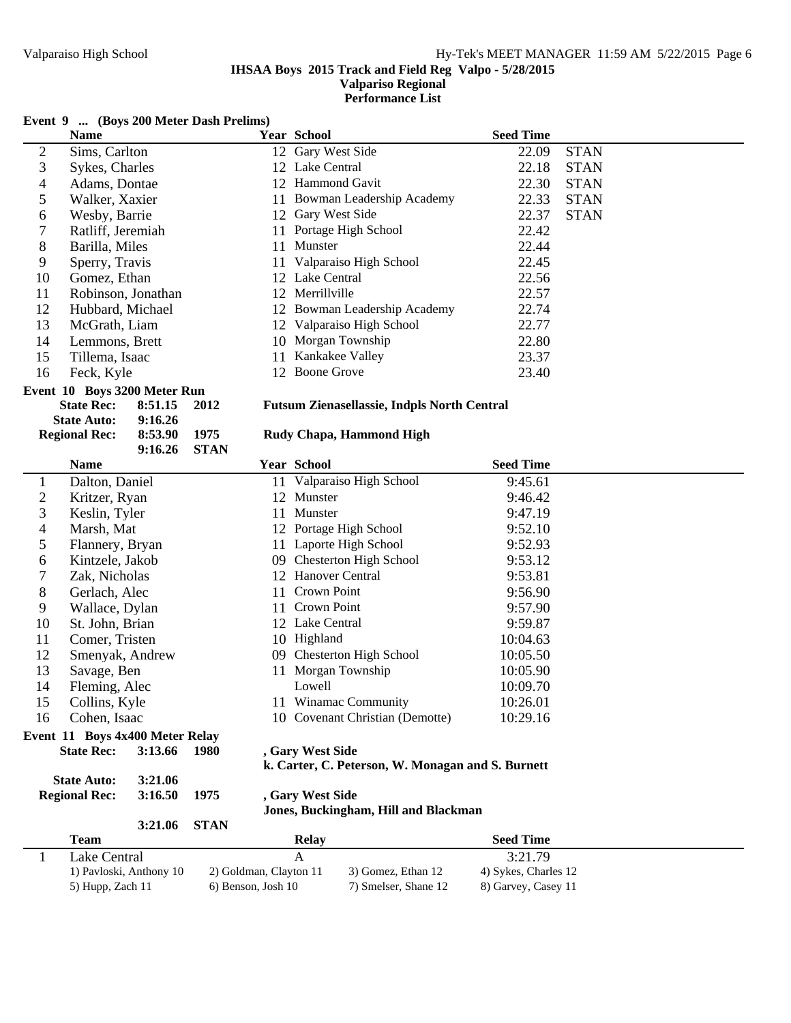**Performance List**

# **Event 9 ... (Boys 200 Meter Dash Prelims)**

|                | <b>Name</b>                  |         |             |    | <b>Year School</b>                                 | <b>Seed Time</b> |             |
|----------------|------------------------------|---------|-------------|----|----------------------------------------------------|------------------|-------------|
| $\overline{2}$ | Sims, Carlton                |         |             | 12 | Gary West Side                                     | 22.09            | <b>STAN</b> |
| 3              | Sykes, Charles               |         |             |    | 12 Lake Central                                    | 22.18            | <b>STAN</b> |
| 4              | Adams, Dontae                |         |             | 12 | Hammond Gavit                                      | 22.30            | <b>STAN</b> |
| 5              | Walker, Xaxier               |         |             | 11 | Bowman Leadership Academy                          | 22.33            | <b>STAN</b> |
| 6              | Wesby, Barrie                |         |             | 12 | Gary West Side                                     | 22.37            | <b>STAN</b> |
| 7              | Ratliff, Jeremiah            |         |             | 11 | Portage High School                                | 22.42            |             |
| 8              | Barilla, Miles               |         |             | 11 | Munster                                            | 22.44            |             |
| 9              | Sperry, Travis               |         |             | 11 | Valparaiso High School                             | 22.45            |             |
| 10             | Gomez, Ethan                 |         |             |    | 12 Lake Central                                    | 22.56            |             |
| 11             | Robinson, Jonathan           |         |             | 12 | Merrillville                                       | 22.57            |             |
| 12             | Hubbard, Michael             |         |             | 12 | Bowman Leadership Academy                          | 22.74            |             |
| 13             | McGrath, Liam                |         |             | 12 | Valparaiso High School                             | 22.77            |             |
| 14             | Lemmons, Brett               |         |             |    | 10 Morgan Township                                 | 22.80            |             |
| 15             | Tillema, Isaac               |         |             | 11 | Kankakee Valley                                    | 23.37            |             |
| 16             | Feck, Kyle                   |         |             | 12 | <b>Boone Grove</b>                                 | 23.40            |             |
|                | Event 10 Boys 3200 Meter Run |         |             |    |                                                    |                  |             |
|                | <b>State Rec:</b>            | 8:51.15 | 2012        |    | <b>Futsum Zienasellassie, Indpls North Central</b> |                  |             |
|                | <b>State Auto:</b>           | 9:16.26 |             |    |                                                    |                  |             |
|                | <b>Regional Rec:</b>         | 8:53.90 | 1975        |    | Rudy Chapa, Hammond High                           |                  |             |
|                |                              | 9:16.26 | <b>STAN</b> |    |                                                    |                  |             |
|                | <b>Name</b>                  |         |             |    | <b>Year School</b>                                 | <b>Seed Time</b> |             |
|                | Dalton, Daniel               |         |             |    | 11 Valparaiso High School                          | 9:45.61          |             |
| 2              | Kritzer, Ryan                |         |             |    | 12 Munster                                         | 9:46.42          |             |
|                | $T \times 1!$ $T \times 1$   |         |             |    | $\blacksquare$                                     | 0.1710           |             |

|                | <b>Name</b>                     |         |             |    | <b>Year School</b>                                | <b>Seed Time</b> |
|----------------|---------------------------------|---------|-------------|----|---------------------------------------------------|------------------|
| 1              | Dalton, Daniel                  |         |             | 11 | Valparaiso High School                            | 9:45.61          |
| $\mathfrak{2}$ | Kritzer, Ryan                   |         |             |    | 12 Munster                                        | 9:46.42          |
| 3              | Keslin, Tyler                   |         |             | 11 | Munster                                           | 9:47.19          |
| $\overline{4}$ | Marsh, Mat                      |         |             |    | 12 Portage High School                            | 9:52.10          |
| 5              | Flannery, Bryan                 |         |             | 11 | Laporte High School                               | 9:52.93          |
| 6              | Kintzele, Jakob                 |         |             |    | 09 Chesterton High School                         | 9:53.12          |
| 7              | Zak, Nicholas                   |         |             |    | 12 Hanover Central                                | 9:53.81          |
| 8              | Gerlach, Alec                   |         |             | 11 | Crown Point                                       | 9:56.90          |
| 9              | Wallace, Dylan                  |         |             | 11 | Crown Point                                       | 9:57.90          |
| 10             | St. John, Brian                 |         |             |    | 12 Lake Central                                   | 9:59.87          |
| 11             | Comer, Tristen                  |         |             | 10 | Highland                                          | 10:04.63         |
| 12             | Smenyak, Andrew                 |         |             |    | 09 Chesterton High School                         | 10:05.50         |
| 13             | Savage, Ben                     |         |             | 11 | Morgan Township                                   | 10:05.90         |
| 14             | Fleming, Alec                   |         |             |    | Lowell                                            | 10:09.70         |
| 15             | Collins, Kyle                   |         |             |    | 11 Winamac Community                              | 10:26.01         |
| 16             | Cohen, Isaac                    |         |             |    | 10 Covenant Christian (Demotte)                   | 10:29.16         |
|                | Event 11 Boys 4x400 Meter Relay |         |             |    |                                                   |                  |
|                | <b>State Rec:</b>               | 3:13.66 | <b>1980</b> |    | , Gary West Side                                  |                  |
|                |                                 |         |             |    | k. Carter, C. Peterson, W. Monagan and S. Burnett |                  |
|                | <b>State Auto:</b>              | 3:21.06 |             |    |                                                   |                  |
|                | <b>Regional Rec:</b>            | 3:16.50 | 1975        |    | , Gary West Side                                  |                  |
|                |                                 |         |             |    | Jones, Buckingham, Hill and Blackman              |                  |
|                |                                 | 3:21.06 | <b>STAN</b> |    |                                                   |                  |
|                | Team                            |         |             |    | <b>Relay</b>                                      | <b>Seed Time</b> |

| 'l'eam                  | Relav                  |                      | Seed Time            |  |
|-------------------------|------------------------|----------------------|----------------------|--|
| Lake Central            |                        |                      | 3:21.79              |  |
| 1) Pavloski, Anthony 10 | 2) Goldman, Clayton 11 | 3) Gomez, Ethan 12   | 4) Sykes, Charles 12 |  |
| 5) Hupp, Zach 11        | 6) Benson, Josh 10     | 7) Smelser, Shane 12 | 8) Garvey, Casey 11  |  |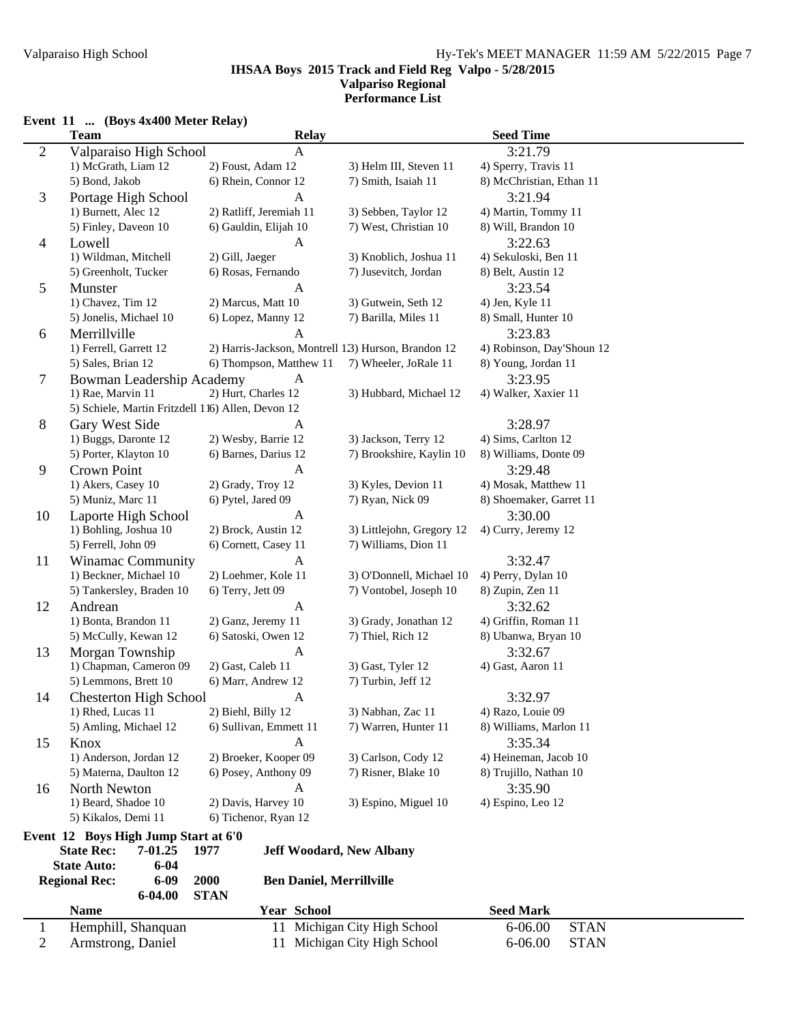#### **IHSAA Boys 2015 Track and Field Reg Valpo - 5/28/2015 Valpariso Regional Performance List**

#### **Event 11 ... (Boys 4x400 Meter Relay)**

|                | <b>Team</b>                                       | <b>Relay</b>                                        |                                          | <b>Seed Time</b>           |  |  |
|----------------|---------------------------------------------------|-----------------------------------------------------|------------------------------------------|----------------------------|--|--|
| $\overline{c}$ | Valparaiso High School                            | $\mathbf{A}$                                        |                                          | 3:21.79                    |  |  |
|                | 1) McGrath, Liam 12                               | 2) Foust, Adam 12                                   | 3) Helm III, Steven 11                   | 4) Sperry, Travis 11       |  |  |
|                | 5) Bond, Jakob                                    | 6) Rhein, Connor 12                                 | 7) Smith, Isaiah 11                      | 8) McChristian, Ethan 11   |  |  |
| 3              | Portage High School                               | $\mathbf{A}$                                        |                                          | 3:21.94                    |  |  |
|                | 1) Burnett, Alec 12                               | 2) Ratliff, Jeremiah 11                             | 3) Sebben, Taylor 12                     | 4) Martin, Tommy 11        |  |  |
|                | 5) Finley, Daveon 10                              | 6) Gauldin, Elijah 10                               | 7) West, Christian 10                    | 8) Will, Brandon 10        |  |  |
| $\overline{4}$ | Lowell                                            | A                                                   |                                          | 3:22.63                    |  |  |
|                | 1) Wildman, Mitchell                              | 2) Gill, Jaeger                                     | 3) Knoblich, Joshua 11                   | 4) Sekuloski, Ben 11       |  |  |
|                | 5) Greenholt, Tucker                              | 6) Rosas, Fernando                                  | 7) Jusevitch, Jordan                     | 8) Belt, Austin 12         |  |  |
| 5              | Munster                                           | A                                                   |                                          | 3:23.54                    |  |  |
|                | 1) Chavez, Tim 12                                 | 2) Marcus, Matt 10                                  | 3) Gutwein, Seth 12                      | 4) Jen, Kyle 11            |  |  |
|                | 5) Jonelis, Michael 10                            | 6) Lopez, Manny 12                                  | 7) Barilla, Miles 11                     | 8) Small, Hunter 10        |  |  |
| 6              | Merrillville                                      | A                                                   |                                          | 3:23.83                    |  |  |
|                | 1) Ferrell, Garrett 12                            | 2) Harris-Jackson, Montrell 1.3) Hurson, Brandon 12 |                                          | 4) Robinson, Day'Shoun 12  |  |  |
|                | 5) Sales, Brian 12                                | 6) Thompson, Matthew 11                             | 7) Wheeler, JoRale 11                    | 8) Young, Jordan 11        |  |  |
|                |                                                   | A                                                   |                                          | 3:23.95                    |  |  |
| 7              | Bowman Leadership Academy<br>1) Rae, Marvin 11    | 2) Hurt, Charles 12                                 | 3) Hubbard, Michael 12                   | 4) Walker, Xaxier 11       |  |  |
|                | 5) Schiele, Martin Fritzdell 116) Allen, Devon 12 |                                                     |                                          |                            |  |  |
|                |                                                   |                                                     |                                          |                            |  |  |
| 8              | Gary West Side                                    | A                                                   |                                          | 3:28.97                    |  |  |
|                | 1) Buggs, Daronte 12                              | 2) Wesby, Barrie 12                                 | 3) Jackson, Terry 12                     | 4) Sims, Carlton 12        |  |  |
|                | 5) Porter, Klayton 10                             | 6) Barnes, Darius 12                                | 7) Brookshire, Kaylin 10                 | 8) Williams, Donte 09      |  |  |
| 9              | Crown Point                                       | $\mathbf{A}$                                        |                                          | 3:29.48                    |  |  |
|                | 1) Akers, Casey 10                                | 2) Grady, Troy 12                                   | 3) Kyles, Devion 11                      | 4) Mosak, Matthew 11       |  |  |
|                | 5) Muniz, Marc 11                                 | 6) Pytel, Jared 09                                  | 7) Ryan, Nick 09                         | 8) Shoemaker, Garret 11    |  |  |
| 10             | Laporte High School                               | A                                                   |                                          | 3:30.00                    |  |  |
|                | 1) Bohling, Joshua 10                             | 2) Brock, Austin 12                                 | 3) Littlejohn, Gregory 12                | 4) Curry, Jeremy 12        |  |  |
|                | 5) Ferrell, John 09                               | 6) Cornett, Casey 11                                | 7) Williams, Dion 11                     |                            |  |  |
| 11             | <b>Winamac Community</b>                          | $\mathbf{A}$                                        |                                          | 3:32.47                    |  |  |
|                | 1) Beckner, Michael 10                            | 2) Loehmer, Kole 11                                 | 3) O'Donnell, Michael 10                 | 4) Perry, Dylan 10         |  |  |
|                | 5) Tankersley, Braden 10                          | 6) Terry, Jett 09                                   | 7) Vontobel, Joseph 10                   | 8) Zupin, Zen 11           |  |  |
| 12             | Andrean                                           | A                                                   |                                          | 3:32.62                    |  |  |
|                | 1) Bonta, Brandon 11                              | 2) Ganz, Jeremy 11                                  | 3) Grady, Jonathan 12                    | 4) Griffin, Roman 11       |  |  |
|                | 5) McCully, Kewan 12                              | 6) Satoski, Owen 12                                 | 7) Thiel, Rich 12<br>8) Ubanwa, Bryan 10 |                            |  |  |
| 13             | Morgan Township                                   | A                                                   | 3:32.67                                  |                            |  |  |
|                | 1) Chapman, Cameron 09                            | 2) Gast, Caleb 11                                   | 3) Gast, Tyler 12                        | 4) Gast, Aaron 11          |  |  |
|                | 5) Lemmons, Brett 10                              | 6) Marr, Andrew 12                                  | 7) Turbin, Jeff 12                       |                            |  |  |
| 14             | <b>Chesterton High School</b>                     | A                                                   |                                          | 3:32.97                    |  |  |
|                | 1) Rhed, Lucas 11                                 | 2) Biehl, Billy 12                                  | 3) Nabhan, Zac 11                        | 4) Razo, Louie 09          |  |  |
|                | 5) Amling, Michael 12                             | 6) Sullivan, Emmett 11                              | 7) Warren, Hunter 11                     | 8) Williams, Marlon 11     |  |  |
| 15             | Knox                                              | $\mathbf{A}$                                        |                                          | 3:35.34                    |  |  |
|                | 1) Anderson, Jordan 12                            | 2) Broeker, Kooper 09                               | 3) Carlson, Cody 12                      | 4) Heineman, Jacob 10      |  |  |
|                | 5) Materna, Daulton 12                            | 6) Posey, Anthony 09                                | 7) Risner, Blake 10                      | 8) Trujillo, Nathan 10     |  |  |
| 16             | North Newton                                      | A                                                   |                                          | 3:35.90                    |  |  |
|                | 1) Beard, Shadoe 10                               | 2) Davis, Harvey 10                                 | 3) Espino, Miguel 10                     | 4) Espino, Leo 12          |  |  |
|                | 5) Kikalos, Demi 11                               | 6) Tichenor, Ryan 12                                |                                          |                            |  |  |
|                | Event 12 Boys High Jump Start at 6'0              |                                                     |                                          |                            |  |  |
|                | <b>State Rec:</b><br>7-01.25                      | 1977<br><b>Jeff Woodard, New Albany</b>             |                                          |                            |  |  |
|                | <b>State Auto:</b><br>$6 - 04$                    |                                                     |                                          |                            |  |  |
|                | <b>Regional Rec:</b><br>$6 - 09$                  | <b>Ben Daniel, Merrillville</b><br>2000             |                                          |                            |  |  |
|                | 6-04.00                                           | <b>STAN</b>                                         |                                          |                            |  |  |
|                | <b>Name</b>                                       | Year School                                         |                                          | <b>Seed Mark</b>           |  |  |
| $\mathbf{1}$   | Hemphill, Shanquan                                |                                                     | 11 Michigan City High School             | <b>STAN</b><br>$6 - 06.00$ |  |  |
| 2              | Armstrong, Daniel                                 |                                                     | 11 Michigan City High School             | $6 - 06.00$<br><b>STAN</b> |  |  |
|                |                                                   |                                                     |                                          |                            |  |  |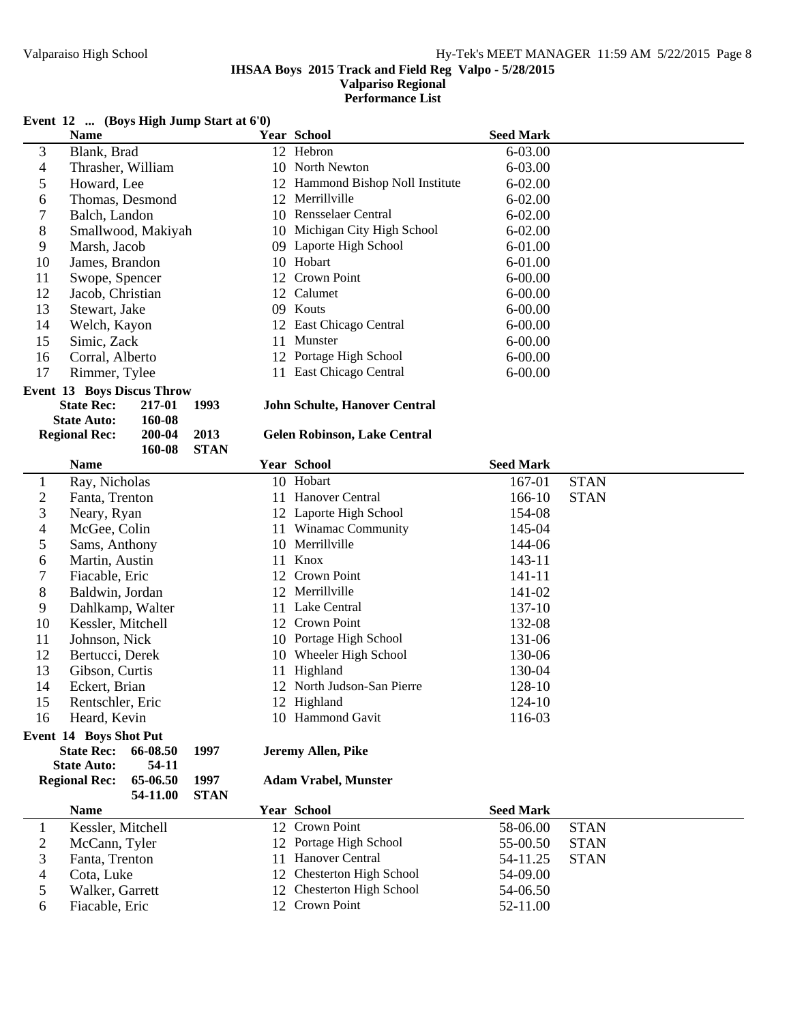**Performance List**

## **Event 12 ... (Boys High Jump Start at 6'0)**

|                                                                             | <b>Name</b>                       |          |             |    | Year School                         | <b>Seed Mark</b> |             |
|-----------------------------------------------------------------------------|-----------------------------------|----------|-------------|----|-------------------------------------|------------------|-------------|
| 3                                                                           | Blank, Brad                       |          |             |    | 12 Hebron                           | 6-03.00          |             |
| 4                                                                           | Thrasher, William                 |          |             |    | 10 North Newton                     | 6-03.00          |             |
| 5                                                                           | Howard, Lee                       |          |             |    | 12 Hammond Bishop Noll Institute    | $6 - 02.00$      |             |
| 6                                                                           | Thomas, Desmond                   |          |             |    | 12 Merrillville                     | $6 - 02.00$      |             |
| 7                                                                           | Balch, Landon                     |          |             |    | 10 Rensselaer Central               | $6 - 02.00$      |             |
| 8                                                                           | Smallwood, Makiyah                |          |             |    | 10 Michigan City High School        | $6 - 02.00$      |             |
| 9                                                                           | Marsh, Jacob                      |          |             |    | 09 Laporte High School              | $6 - 01.00$      |             |
| 10                                                                          | James, Brandon                    |          |             |    | 10 Hobart                           | $6 - 01.00$      |             |
| 11                                                                          | Swope, Spencer                    |          |             |    | 12 Crown Point                      | $6 - 00.00$      |             |
| 12                                                                          | Jacob, Christian                  |          |             |    | 12 Calumet                          | $6 - 00.00$      |             |
| 13                                                                          | Stewart, Jake                     |          |             |    | 09 Kouts                            | $6 - 00.00$      |             |
| 14                                                                          | Welch, Kayon                      |          |             |    | 12 East Chicago Central             | $6 - 00.00$      |             |
| 15                                                                          | Simic, Zack                       |          |             |    | 11 Munster                          | $6 - 00.00$      |             |
| 16                                                                          | Corral, Alberto                   |          |             |    | 12 Portage High School              | $6 - 00.00$      |             |
| 17                                                                          | Rimmer, Tylee                     |          |             |    | 11 East Chicago Central             | $6 - 00.00$      |             |
|                                                                             | <b>Event 13 Boys Discus Throw</b> |          |             |    |                                     |                  |             |
| <b>State Rec:</b><br><b>John Schulte, Hanover Central</b><br>217-01<br>1993 |                                   |          |             |    |                                     |                  |             |
|                                                                             | <b>State Auto:</b>                | 160-08   |             |    |                                     |                  |             |
|                                                                             | <b>Regional Rec:</b>              | 200-04   | 2013        |    | <b>Gelen Robinson, Lake Central</b> |                  |             |
|                                                                             |                                   | 160-08   | <b>STAN</b> |    |                                     |                  |             |
|                                                                             | <b>Name</b>                       |          |             |    | <b>Year School</b>                  | <b>Seed Mark</b> |             |
| $\mathbf{1}$                                                                | Ray, Nicholas                     |          |             |    | 10 Hobart                           | 167-01           | <b>STAN</b> |
| $\overline{c}$                                                              | Fanta, Trenton                    |          |             |    | 11 Hanover Central                  | 166-10           | <b>STAN</b> |
| 3                                                                           | Neary, Ryan                       |          |             |    | 12 Laporte High School              | 154-08           |             |
| 4                                                                           | McGee, Colin                      |          |             |    | 11 Winamac Community                | 145-04           |             |
| 5                                                                           | Sams, Anthony                     |          |             |    | 10 Merrillville                     | 144-06           |             |
| 6                                                                           | Martin, Austin                    |          |             | 11 | Knox                                | 143-11           |             |
| 7                                                                           | Fiacable, Eric                    |          |             |    | 12 Crown Point                      | 141-11           |             |
| 8                                                                           | Baldwin, Jordan                   |          |             |    | 12 Merrillville                     | 141-02           |             |
| 9                                                                           | Dahlkamp, Walter                  |          |             |    | 11 Lake Central                     | 137-10           |             |
| 10                                                                          | Kessler, Mitchell                 |          |             |    | 12 Crown Point                      | 132-08           |             |
| 11                                                                          | Johnson, Nick                     |          |             |    | 10 Portage High School              | 131-06           |             |
| 12                                                                          | Bertucci, Derek                   |          |             |    | 10 Wheeler High School              | 130-06           |             |
| 13                                                                          | Gibson, Curtis                    |          |             |    | 11 Highland                         | 130-04           |             |
| 14                                                                          | Eckert, Brian                     |          |             |    | 12 North Judson-San Pierre          | 128-10           |             |
| 15                                                                          | Rentschler, Eric                  |          |             |    | 12 Highland                         | 124-10           |             |
| 16                                                                          | Heard, Kevin                      |          |             |    | 10 Hammond Gavit                    | 116-03           |             |
|                                                                             | <b>Event 14 Boys Shot Put</b>     |          |             |    |                                     |                  |             |
|                                                                             | <b>State Rec:</b>                 | 66-08.50 | 1997        |    | Jeremy Allen, Pike                  |                  |             |
|                                                                             | <b>State Auto:</b>                | 54-11    |             |    |                                     |                  |             |
|                                                                             | <b>Regional Rec:</b>              | 65-06.50 | 1997        |    | <b>Adam Vrabel, Munster</b>         |                  |             |
|                                                                             |                                   | 54-11.00 | <b>STAN</b> |    |                                     |                  |             |
|                                                                             | <b>Name</b>                       |          |             |    | <b>Year School</b>                  | <b>Seed Mark</b> |             |
| 1                                                                           | Kessler, Mitchell                 |          |             |    | 12 Crown Point                      | 58-06.00         | <b>STAN</b> |
| 2                                                                           | McCann, Tyler                     |          |             |    | 12 Portage High School              | 55-00.50         | <b>STAN</b> |
| 3                                                                           | Fanta, Trenton                    |          |             |    | 11 Hanover Central                  | 54-11.25         | <b>STAN</b> |
| 4                                                                           | Cota, Luke                        |          |             |    | 12 Chesterton High School           | 54-09.00         |             |
| 5                                                                           | Walker, Garrett                   |          |             |    | 12 Chesterton High School           | 54-06.50         |             |
| 6                                                                           | Fiacable, Eric                    |          |             |    | 12 Crown Point                      | 52-11.00         |             |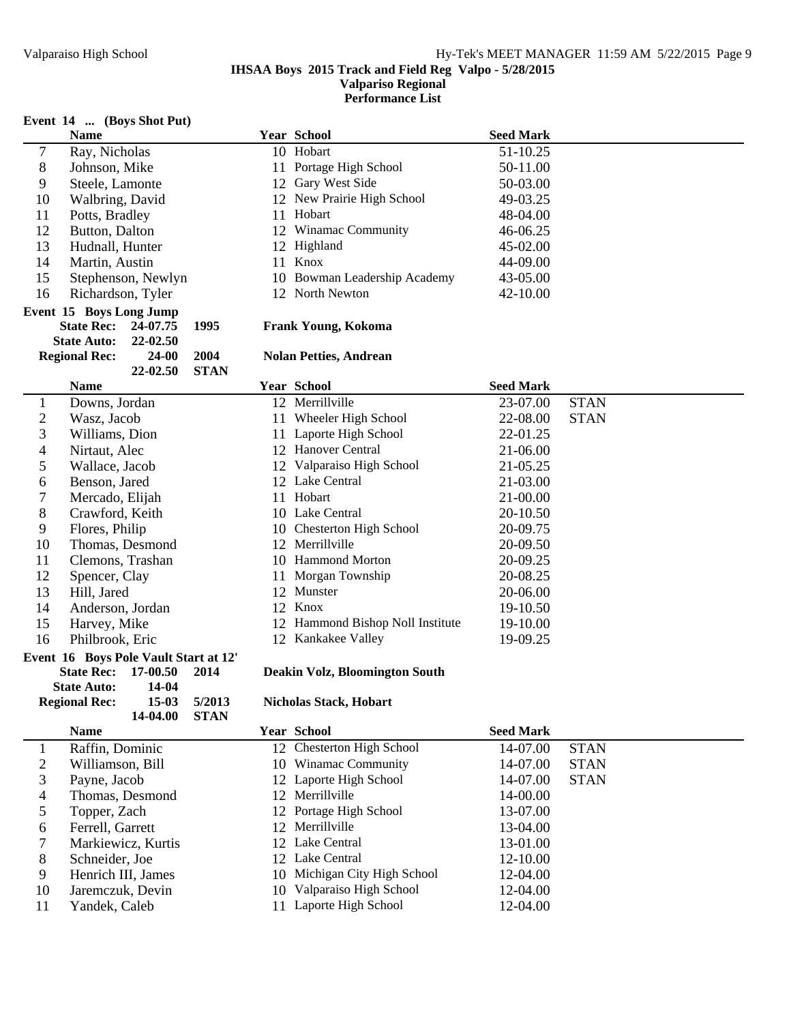**Performance List**

# **Event 14 ... (Boys Shot Put)**

|        | $\mathcal{C}$ and $\mathcal{C}$ is the set of $\mathcal{C}$ in $\mathcal{C}$ is the set of $\mathcal{C}$ |                              |                  |
|--------|----------------------------------------------------------------------------------------------------------|------------------------------|------------------|
|        | <b>Name</b>                                                                                              | <b>Year School</b>           | <b>Seed Mark</b> |
| $\tau$ | Ray, Nicholas                                                                                            | 10 Hobart                    | 51-10.25         |
| 8      | Johnson, Mike                                                                                            | 11 Portage High School       | 50-11.00         |
| 9      | Steele, Lamonte                                                                                          | 12 Gary West Side            | 50-03.00         |
| 10     | Walbring, David                                                                                          | 12 New Prairie High School   | 49-03.25         |
| 11     | Potts, Bradley                                                                                           | 11 Hobart                    | 48-04.00         |
| 12     | Button, Dalton                                                                                           | 12 Winamac Community         | 46-06.25         |
| 13     | Hudnall, Hunter                                                                                          | 12 Highland                  | 45-02.00         |
| 14     | Martin, Austin                                                                                           | 11 Knox                      | 44-09.00         |
| 15     | Stephenson, Newlyn                                                                                       | 10 Bowman Leadership Academy | 43-05.00         |
| 16     | Richardson, Tyler                                                                                        | 12 North Newton              | 42-10.00         |
|        |                                                                                                          |                              |                  |

#### **Event 15 Boys Long Jump**

| <b>State Rec:</b>    | 24-07.75   | 1995        |
|----------------------|------------|-------------|
| <b>State Auto:</b>   | 22-02.50   |             |
| <b>Regional Rec:</b> | 24-00 2004 |             |
|                      | 22-02.50   | <b>STAN</b> |

# **Name Seed Mark Year School Seed Mark**

| 1              | Downs, Jordan                         |
|----------------|---------------------------------------|
| $\overline{2}$ | Wasz, Jacob                           |
| 3              | Williams, Dion                        |
| $\overline{4}$ | Nirtaut, Alec                         |
| 5              | Wallace, Jacob                        |
| 6              | Benson, Jared                         |
| 7              | Mercado, Elijah                       |
| 8              | Crawford, Keith                       |
| 9              | Flores, Philip                        |
| 10             | Thomas, Desmond                       |
| 11             | Clemons, Trashan                      |
| 12             | Spencer, Clay                         |
| 13             | Hill, Jared                           |
| 14             | Anderson, Jordan                      |
| 15             | Harvey, Mike                          |
| 16             | Philbrook, Eric                       |
|                | Event 16 Boys Pole Vault Start at 12' |
|                | 17-00.50<br><b>State Rec:</b><br>2014 |

| state Rec:           | 17-VV.3V | 2014        |
|----------------------|----------|-------------|
| <b>State Auto:</b>   | 14-04    |             |
| <b>Regional Rec:</b> | 15-03    | 5/2013      |
|                      | 14-04.00 | <b>STAN</b> |

# 1 Raffin, Dominic 2 Williamson, Bill 3 Payne, Jacob

4 Thomas, Desmond<br>5 Topper, Zach Topper, Zach 6 Ferrell, Garrett 7 Markiewicz, Kurtis 8 Schneider, Joe<br>9 Henrich III, Jan

# Henrich III, James

- 10 Jaremczuk, Devin
- 11 Yandek, Caleb

|  | 12 Valparaiso High Sch |
|--|------------------------|
|  | 12 Lake Central        |
|  |                        |

| . . | Downs, Jordan          | Merrillville        | 23-07.00 | <b>STAN</b> |
|-----|------------------------|---------------------|----------|-------------|
|     | <b>Wasz</b><br>– Iacob | Wheeler High School | 22-08.00 | <b>STAN</b> |

**State Rec: 24-07.75 Frank Youn 1995 g, Kokoma**

**Rolan Petties, Andrean** 

|    | DO W 119. JOI GAH | $12$ within the                  | 20 U LUU<br>.           |
|----|-------------------|----------------------------------|-------------------------|
| 2  | Wasz, Jacob       | Wheeler High School<br>11        | <b>STAN</b><br>22-08.00 |
| 3  | Williams, Dion    | 11 Laporte High School           | 22-01.25                |
| 4  | Nirtaut, Alec     | 12 Hanover Central               | 21-06.00                |
| 5  | Wallace, Jacob    | 12 Valparaiso High School        | 21-05.25                |
| 6  | Benson, Jared     | 12 Lake Central                  | 21-03.00                |
| 7  | Mercado, Elijah   | Hobart<br>11                     | 21-00.00                |
| 8  | Crawford, Keith   | 10 Lake Central                  | 20-10.50                |
| 9  | Flores, Philip    | 10 Chesterton High School        | 20-09.75                |
| 10 | Thomas, Desmond   | 12 Merrillville                  | 20-09.50                |
| 11 | Clemons, Trashan  | 10 Hammond Morton                | 20-09.25                |
| 12 | Spencer, Clay     | Morgan Township<br>11            | 20-08.25                |
| 13 | Hill, Jared       | 12 Munster                       | 20-06.00                |
| 14 | Anderson, Jordan  | 12 Knox                          | 19-10.50                |
| 15 | Harvey, Mike      | 12 Hammond Bishop Noll Institute | 19-10.00                |
| 16 | Philbrook, Eric   | 12 Kankakee Valley               | 19-09.25                |

#### **State Rec: 17-00.50 Deakin Volz 2014 , Bloomington South**

### $Nicholas Stack, Hobart$

| Name               | <b>Year School</b>           | <b>Seed Mark</b> |             |  |
|--------------------|------------------------------|------------------|-------------|--|
| Raffin, Dominic    | 12 Chesterton High School    | 14-07.00         | <b>STAN</b> |  |
| Williamson, Bill   | 10 Winamac Community         | 14-07.00         | <b>STAN</b> |  |
| Payne, Jacob       | 12 Laporte High School       | 14-07.00         | <b>STAN</b> |  |
| Thomas, Desmond    | 12 Merrillville              | 14-00.00         |             |  |
| Topper, Zach       | 12 Portage High School       | 13-07.00         |             |  |
| Ferrell, Garrett   | 12 Merrillyille              | 13-04.00         |             |  |
| Markiewicz, Kurtis | 12 Lake Central              | 13-01.00         |             |  |
| Schneider, Joe     | 12 Lake Central              | 12-10.00         |             |  |
| Henrich III, James | 10 Michigan City High School | 12-04.00         |             |  |
| Jaremczuk, Devin   | 10 Valparaiso High School    | 12-04.00         |             |  |
| Yandek, Caleb      | 11 Laporte High School       | 12-04.00         |             |  |